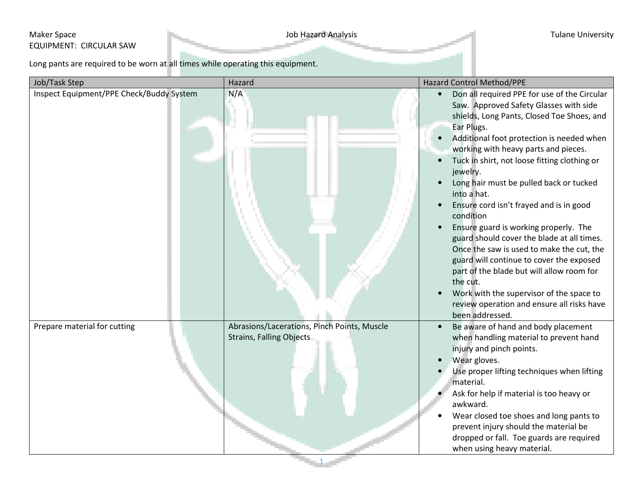## Maker Space **Maker Space** Tulane University EQUIPMENT: CIRCULAR SAW

Long pants are required to be worn at all times while operating this equipment.

| Job/Task Step                            | Hazard                                                                         | <b>Hazard Control Method/PPE</b>                                                                                                                                                                                                                                                                                                                                                                                                                                                                                                                                                                                                                                                                                                                                                                      |  |
|------------------------------------------|--------------------------------------------------------------------------------|-------------------------------------------------------------------------------------------------------------------------------------------------------------------------------------------------------------------------------------------------------------------------------------------------------------------------------------------------------------------------------------------------------------------------------------------------------------------------------------------------------------------------------------------------------------------------------------------------------------------------------------------------------------------------------------------------------------------------------------------------------------------------------------------------------|--|
| Inspect Equipment/PPE Check/Buddy System | N/A                                                                            | Don all required PPE for use of the Circular<br>$\bullet$<br>Saw. Approved Safety Glasses with side<br>shields, Long Pants, Closed Toe Shoes, and<br>Ear Plugs.<br>Additional foot protection is needed when<br>$\bullet$<br>working with heavy parts and pieces.<br>Tuck in shirt, not loose fitting clothing or<br>jewelry.<br>Long hair must be pulled back or tucked<br>into a hat.<br>Ensure cord isn't frayed and is in good<br>condition<br>Ensure guard is working properly. The<br>guard should cover the blade at all times.<br>Once the saw is used to make the cut, the<br>guard will continue to cover the exposed<br>part of the blade but will allow room for<br>the cut.<br>Work with the supervisor of the space to<br>review operation and ensure all risks have<br>been addressed. |  |
| Prepare material for cutting             | Abrasions/Lacerations, Pinch Points, Muscle<br><b>Strains, Falling Objects</b> | Be aware of hand and body placement<br>$\bullet$<br>when handling material to prevent hand<br>injury and pinch points.<br>Wear gloves.<br>Use proper lifting techniques when lifting<br>material.<br>Ask for help if material is too heavy or<br>awkward.<br>Wear closed toe shoes and long pants to<br>prevent injury should the material be<br>dropped or fall. Toe guards are required<br>when using heavy material.                                                                                                                                                                                                                                                                                                                                                                               |  |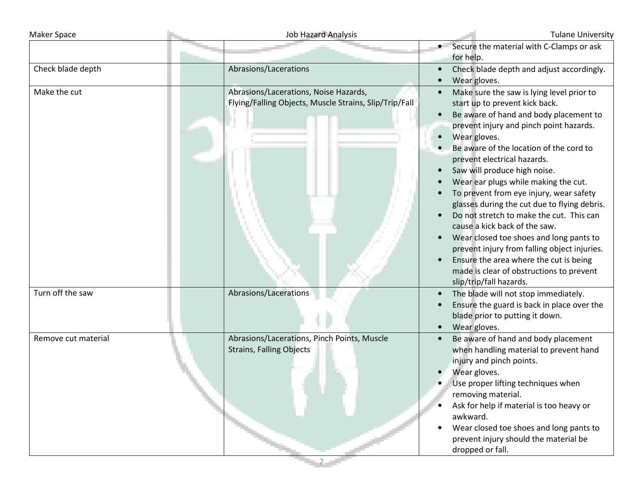| <b>Maker Space</b>  | <b>Job Hazard Analysis</b>                                                                      | <b>Tulane University</b>                                                                                                                                                                                                                                                                                                                                                                                                                                                                                                                                                                                                                                                                                                                                      |
|---------------------|-------------------------------------------------------------------------------------------------|---------------------------------------------------------------------------------------------------------------------------------------------------------------------------------------------------------------------------------------------------------------------------------------------------------------------------------------------------------------------------------------------------------------------------------------------------------------------------------------------------------------------------------------------------------------------------------------------------------------------------------------------------------------------------------------------------------------------------------------------------------------|
|                     |                                                                                                 | • Secure the material with C-Clamps or ask<br>for help.                                                                                                                                                                                                                                                                                                                                                                                                                                                                                                                                                                                                                                                                                                       |
| Check blade depth   | Abrasions/Lacerations                                                                           | Check blade depth and adjust accordingly.<br>Wear gloves.                                                                                                                                                                                                                                                                                                                                                                                                                                                                                                                                                                                                                                                                                                     |
| Make the cut        | Abrasions/Lacerations, Noise Hazards,<br>Flying/Falling Objects, Muscle Strains, Slip/Trip/Fall | Make sure the saw is lying level prior to<br>start up to prevent kick back.<br>Be aware of hand and body placement to<br>$\bullet$<br>prevent injury and pinch point hazards.<br>Wear gloves.<br>$\bullet$<br>Be aware of the location of the cord to<br>prevent electrical hazards.<br>Saw will produce high noise.<br>Wear ear plugs while making the cut.<br>To prevent from eye injury, wear safety<br>glasses during the cut due to flying debris.<br>Do not stretch to make the cut. This can<br>cause a kick back of the saw.<br>Wear closed toe shoes and long pants to<br>prevent injury from falling object injuries.<br>Ensure the area where the cut is being<br>$\bullet$<br>made is clear of obstructions to prevent<br>slip/trip/fall hazards. |
| Turn off the saw    | Abrasions/Lacerations                                                                           | The blade will not stop immediately.<br>Ensure the guard is back in place over the<br>blade prior to putting it down.<br>Wear gloves.                                                                                                                                                                                                                                                                                                                                                                                                                                                                                                                                                                                                                         |
| Remove cut material | Abrasions/Lacerations, Pinch Points, Muscle<br><b>Strains, Falling Objects</b>                  | Be aware of hand and body placement<br>$\bullet$<br>when handling material to prevent hand<br>injury and pinch points.<br>Wear gloves.<br>Use proper lifting techniques when<br>removing material.<br>Ask for help if material is too heavy or<br>awkward.<br>Wear closed toe shoes and long pants to<br>prevent injury should the material be<br>dropped or fall.                                                                                                                                                                                                                                                                                                                                                                                            |

2